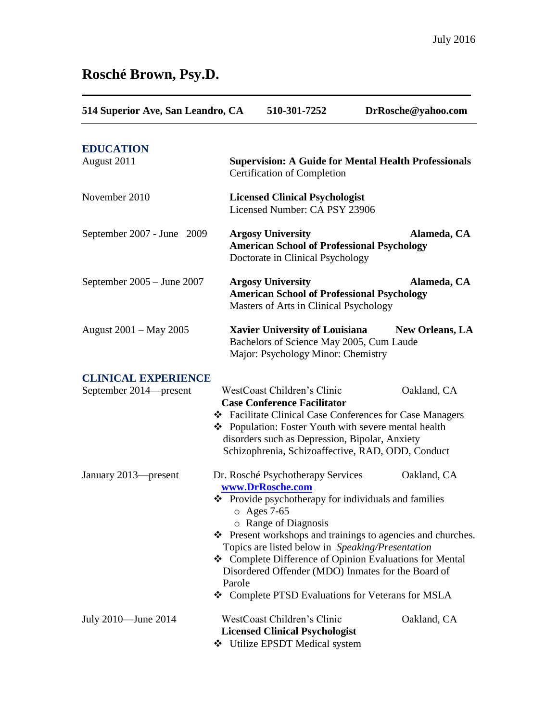# **Rosché Brown, Psy.D.**

| 514 Superior Ave, San Leandro, CA |        | 510-301-7252                                                                                                                                                                                                   | DrRosche@yahoo.com                                                                                                                                                                                                                               |
|-----------------------------------|--------|----------------------------------------------------------------------------------------------------------------------------------------------------------------------------------------------------------------|--------------------------------------------------------------------------------------------------------------------------------------------------------------------------------------------------------------------------------------------------|
| <b>EDUCATION</b><br>August 2011   |        | <b>Supervision: A Guide for Mental Health Professionals</b><br>Certification of Completion                                                                                                                     |                                                                                                                                                                                                                                                  |
| November 2010                     |        | <b>Licensed Clinical Psychologist</b><br>Licensed Number: CA PSY 23906                                                                                                                                         |                                                                                                                                                                                                                                                  |
| September 2007 - June 2009        |        | <b>Argosy University</b><br><b>American School of Professional Psychology</b><br>Doctorate in Clinical Psychology                                                                                              | Alameda, CA                                                                                                                                                                                                                                      |
| September $2005 -$ June $2007$    |        | <b>Argosy University</b><br><b>American School of Professional Psychology</b><br>Masters of Arts in Clinical Psychology                                                                                        | Alameda, CA                                                                                                                                                                                                                                      |
| August 2001 – May 2005            |        | <b>Xavier University of Louisiana</b><br>Bachelors of Science May 2005, Cum Laude<br>Major: Psychology Minor: Chemistry                                                                                        | <b>New Orleans, LA</b>                                                                                                                                                                                                                           |
| <b>CLINICAL EXPERIENCE</b>        |        |                                                                                                                                                                                                                |                                                                                                                                                                                                                                                  |
| September 2014—present            |        | WestCoast Children's Clinic<br><b>Case Conference Facilitator</b><br>❖ Population: Foster Youth with severe mental health<br>disorders such as Depression, Bipolar, Anxiety                                    | Oakland, CA<br>❖ Facilitate Clinical Case Conferences for Case Managers<br>Schizophrenia, Schizoaffective, RAD, ODD, Conduct                                                                                                                     |
| January 2013-present              | Parole | Dr. Rosché Psychotherapy Services<br>www.DrRosche.com<br>❖ Provide psychotherapy for individuals and families<br>$\circ$ Ages 7-65<br>o Range of Diagnosis<br>Topics are listed below in Speaking/Presentation | Oakland, CA<br>❖ Present workshops and trainings to agencies and churches.<br>❖ Complete Difference of Opinion Evaluations for Mental<br>Disordered Offender (MDO) Inmates for the Board of<br>❖ Complete PTSD Evaluations for Veterans for MSLA |
| July 2010—June 2014               |        | WestCoast Children's Clinic<br><b>Licensed Clinical Psychologist</b><br>❖ Utilize EPSDT Medical system                                                                                                         | Oakland, CA                                                                                                                                                                                                                                      |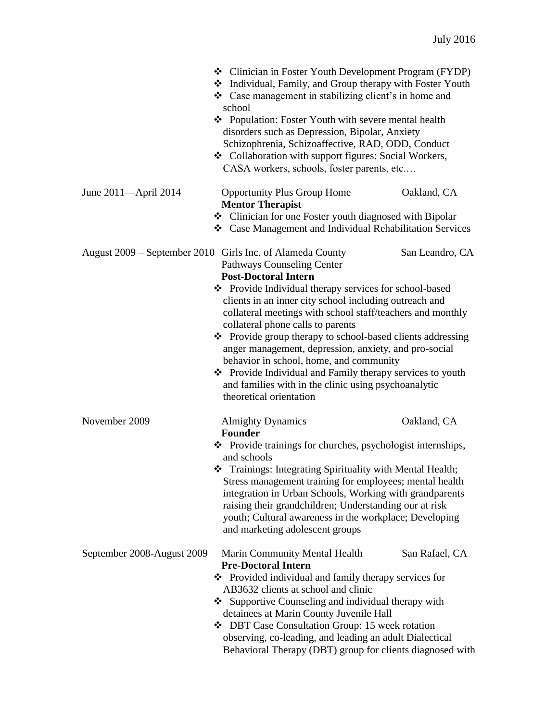|                            | ❖ Clinician in Foster Youth Development Program (FYDP)<br>* Individual, Family, and Group therapy with Foster Youth<br>❖ Case management in stabilizing client's in home and<br>school<br>❖ Population: Foster Youth with severe mental health<br>disorders such as Depression, Bipolar, Anxiety<br>Schizophrenia, Schizoaffective, RAD, ODD, Conduct<br>❖ Collaboration with support figures: Social Workers,<br>CASA workers, schools, foster parents, etc |                 |
|----------------------------|--------------------------------------------------------------------------------------------------------------------------------------------------------------------------------------------------------------------------------------------------------------------------------------------------------------------------------------------------------------------------------------------------------------------------------------------------------------|-----------------|
| June 2011—April 2014       | <b>Opportunity Plus Group Home</b><br><b>Mentor Therapist</b><br>Clinician for one Foster youth diagnosed with Bipolar                                                                                                                                                                                                                                                                                                                                       | Oakland, CA     |
|                            | Case Management and Individual Rehabilitation Services                                                                                                                                                                                                                                                                                                                                                                                                       |                 |
|                            | August 2009 – September 2010 Girls Inc. of Alameda County<br><b>Pathways Counseling Center</b><br><b>Post-Doctoral Intern</b>                                                                                                                                                                                                                                                                                                                                | San Leandro, CA |
|                            | ❖ Provide Individual therapy services for school-based<br>clients in an inner city school including outreach and<br>collateral meetings with school staff/teachers and monthly<br>collateral phone calls to parents<br>❖ Provide group therapy to school-based clients addressing<br>anger management, depression, anxiety, and pro-social                                                                                                                   |                 |
|                            | behavior in school, home, and community<br>❖ Provide Individual and Family therapy services to youth<br>and families with in the clinic using psychoanalytic<br>theoretical orientation                                                                                                                                                                                                                                                                      |                 |
| November 2009              | <b>Almighty Dynamics</b><br>Founder                                                                                                                                                                                                                                                                                                                                                                                                                          | Oakland, CA     |
|                            | ❖ Provide trainings for churches, psychologist internships,<br>and schools                                                                                                                                                                                                                                                                                                                                                                                   |                 |
|                            | Trainings: Integrating Spirituality with Mental Health;<br>Stress management training for employees; mental health<br>integration in Urban Schools, Working with grandparents<br>raising their grandchildren; Understanding our at risk<br>youth; Cultural awareness in the workplace; Developing<br>and marketing adolescent groups                                                                                                                         |                 |
| September 2008-August 2009 | Marin Community Mental Health<br><b>Pre-Doctoral Intern</b><br>❖ Provided individual and family therapy services for<br>AB3632 clients at school and clinic<br>Supportive Counseling and individual therapy with<br>detainees at Marin County Juvenile Hall<br>❖ DBT Case Consultation Group: 15 week rotation<br>observing, co-leading, and leading an adult Dialectical<br>Behavioral Therapy (DBT) group for clients diagnosed with                       | San Rafael, CA  |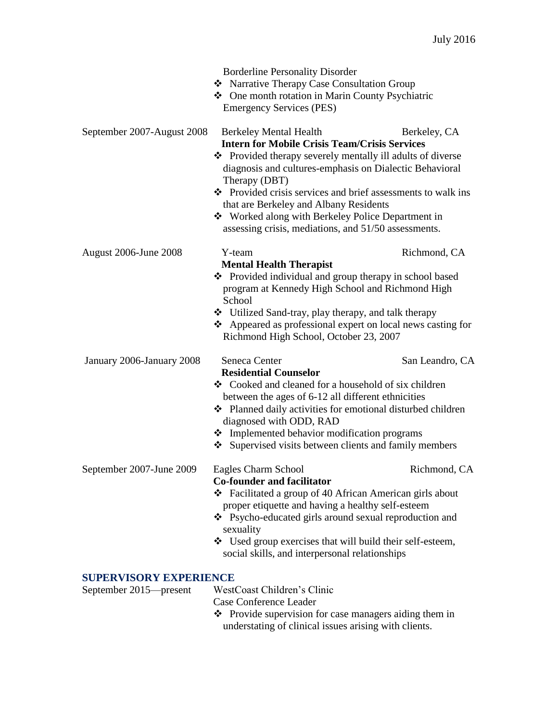|                            | <b>Borderline Personality Disorder</b><br>* Narrative Therapy Case Consultation Group                                                                                   |                 |  |
|----------------------------|-------------------------------------------------------------------------------------------------------------------------------------------------------------------------|-----------------|--|
|                            |                                                                                                                                                                         |                 |  |
|                            | ❖ One month rotation in Marin County Psychiatric<br><b>Emergency Services (PES)</b>                                                                                     |                 |  |
| September 2007-August 2008 | <b>Berkeley Mental Health</b>                                                                                                                                           | Berkeley, CA    |  |
|                            | <b>Intern for Mobile Crisis Team/Crisis Services</b>                                                                                                                    |                 |  |
|                            | ❖ Provided therapy severely mentally ill adults of diverse<br>diagnosis and cultures-emphasis on Dialectic Behavioral<br>Therapy (DBT)                                  |                 |  |
|                            | ❖ Provided crisis services and brief assessments to walk ins<br>that are Berkeley and Albany Residents                                                                  |                 |  |
|                            | ❖ Worked along with Berkeley Police Department in<br>assessing crisis, mediations, and 51/50 assessments.                                                               |                 |  |
| August 2006-June 2008      | Y-team                                                                                                                                                                  | Richmond, CA    |  |
|                            | <b>Mental Health Therapist</b><br>❖ Provided individual and group therapy in school based<br>program at Kennedy High School and Richmond High<br>School                 |                 |  |
|                            | ❖ Utilized Sand-tray, play therapy, and talk therapy<br>$\triangle$ Appeared as professional expert on local news casting for<br>Richmond High School, October 23, 2007 |                 |  |
| January 2006-January 2008  | Seneca Center<br><b>Residential Counselor</b>                                                                                                                           | San Leandro, CA |  |
|                            | ❖ Cooked and cleaned for a household of six children<br>between the ages of 6-12 all different ethnicities                                                              |                 |  |
|                            | • Planned daily activities for emotional disturbed children<br>diagnosed with ODD, RAD                                                                                  |                 |  |
|                            | • Implemented behavior modification programs                                                                                                                            |                 |  |
|                            | Supervised visits between clients and family members                                                                                                                    |                 |  |
| September 2007-June 2009   | Eagles Charm School<br><b>Co-founder and facilitator</b>                                                                                                                | Richmond, CA    |  |
|                            | ❖ Facilitated a group of 40 African American girls about<br>proper etiquette and having a healthy self-esteem                                                           |                 |  |
|                            | ❖ Psycho-educated girls around sexual reproduction and<br>sexuality                                                                                                     |                 |  |
|                            | ❖ Used group exercises that will build their self-esteem,<br>social skills, and interpersonal relationships                                                             |                 |  |
|                            |                                                                                                                                                                         |                 |  |

### **SUPERVISORY EXPERIENCE**

| September 2015—present | WestCoast Children's Clinic                                    |
|------------------------|----------------------------------------------------------------|
|                        | Case Conference Leader                                         |
|                        | $\bullet$ Provide supervision for case managers aiding them in |
|                        | understating of clinical issues arising with clients.          |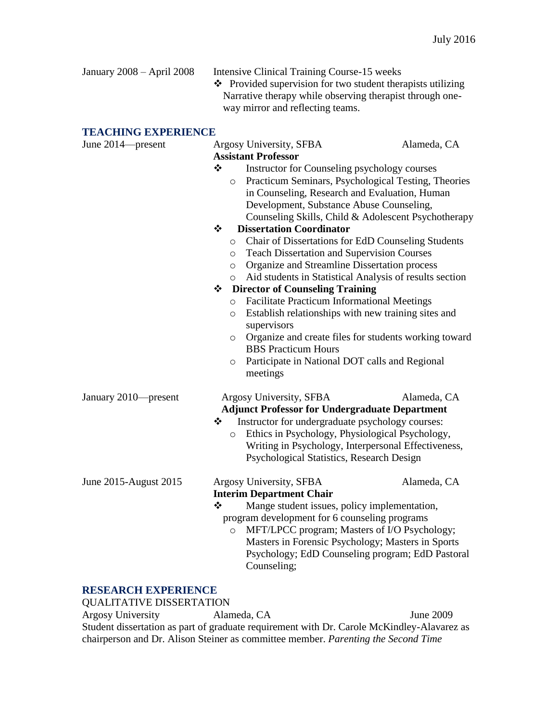| January $2008 -$ April $2008$ | Intensive Clinical Training Course-15 weeks<br>❖ Provided supervision for two student therapists utilizing<br>Narrative therapy while observing therapist through one-<br>way mirror and reflecting teams. |
|-------------------------------|------------------------------------------------------------------------------------------------------------------------------------------------------------------------------------------------------------|
| <b>TE LAITNA RYDRDIRNAR</b>   |                                                                                                                                                                                                            |

# **TEACHING EXPERIENCE**

| TEACHING EAPERIENCE   |                                                                                                                                                                                                                                                                                                                                                                         |             |
|-----------------------|-------------------------------------------------------------------------------------------------------------------------------------------------------------------------------------------------------------------------------------------------------------------------------------------------------------------------------------------------------------------------|-------------|
| June 2014—present     | Argosy University, SFBA<br><b>Assistant Professor</b>                                                                                                                                                                                                                                                                                                                   | Alameda, CA |
|                       | ❖<br>Instructor for Counseling psychology courses<br>o Practicum Seminars, Psychological Testing, Theories<br>in Counseling, Research and Evaluation, Human<br>Development, Substance Abuse Counseling,<br>Counseling Skills, Child & Adolescent Psychotherapy<br><b>Dissertation Coordinator</b><br>❖<br>Chair of Dissertations for EdD Counseling Students<br>$\circ$ |             |
|                       | <b>Teach Dissertation and Supervision Courses</b><br>$\circ$<br>Organize and Streamline Dissertation process<br>$\circ$<br>Aid students in Statistical Analysis of results section<br>$\circ$                                                                                                                                                                           |             |
|                       | <b>Director of Counseling Training</b><br>❖<br>Facilitate Practicum Informational Meetings<br>$\circ$<br>Establish relationships with new training sites and<br>$\circ$<br>supervisors<br>Organize and create files for students working toward<br>$\circ$<br><b>BBS</b> Practicum Hours<br>Participate in National DOT calls and Regional<br>$\circ$<br>meetings       |             |
| January 2010-present  | Argosy University, SFBA<br><b>Adjunct Professor for Undergraduate Department</b><br>Instructor for undergraduate psychology courses:<br>❖<br>Ethics in Psychology, Physiological Psychology,<br>$\circ$<br>Writing in Psychology, Interpersonal Effectiveness,<br>Psychological Statistics, Research Design                                                             | Alameda, CA |
| June 2015-August 2015 | Argosy University, SFBA<br><b>Interim Department Chair</b><br>❖<br>Mange student issues, policy implementation,<br>program development for 6 counseling programs<br>MFT/LPCC program; Masters of I/O Psychology;<br>$\circ$<br>Masters in Forensic Psychology; Masters in Sports<br>Psychology; EdD Counseling program; EdD Pastoral<br>Counseling;                     | Alameda, CA |

# **RESEARCH EXPERIENCE**

| <b>QUALITATIVE DISSERTATION</b>                                                   |                                                                                            |           |  |
|-----------------------------------------------------------------------------------|--------------------------------------------------------------------------------------------|-----------|--|
| <b>Argosy University</b>                                                          | Alameda, CA                                                                                | June 2009 |  |
|                                                                                   | Student dissertation as part of graduate requirement with Dr. Carole McKindley-Alavarez as |           |  |
| chairperson and Dr. Alison Steiner as committee member. Parenting the Second Time |                                                                                            |           |  |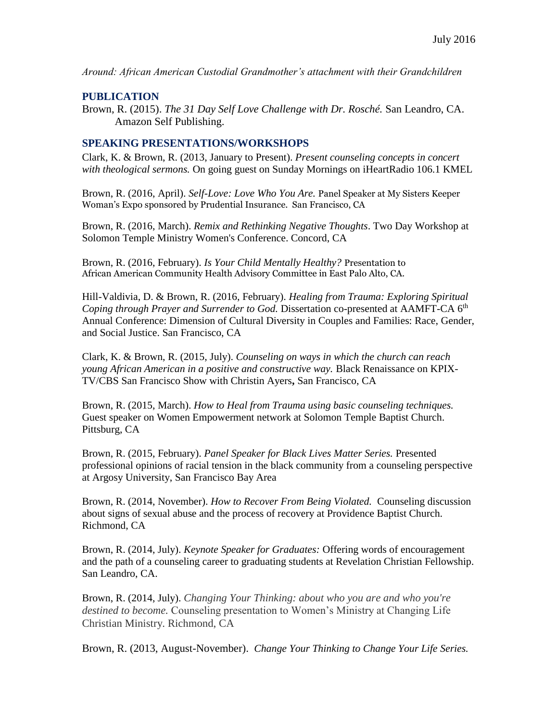*Around: African American Custodial Grandmother's attachment with their Grandchildren*

### **PUBLICATION**

Brown, R. (2015). *The 31 Day Self Love Challenge with Dr. Rosché.* San Leandro, CA. Amazon Self Publishing.

# **SPEAKING PRESENTATIONS/WORKSHOPS**

Clark, K. & Brown, R. (2013, January to Present). *Present counseling concepts in concert with theological sermons.* On going guest on Sunday Mornings on iHeartRadio 106.1 KMEL

Brown, R. (2016, April). *Self-Love: Love Who You Are.* Panel Speaker at My Sisters Keeper Woman's Expo sponsored by Prudential Insurance. San Francisco, CA

Brown, R. (2016, March). *Remix and Rethinking Negative Thoughts*. Two Day Workshop at Solomon Temple Ministry Women's Conference. Concord, CA

Brown, R. (2016, February). *Is Your Child Mentally Healthy?* Presentation to African American Community Health Advisory Committee in East Palo Alto, CA.

Hill-Valdivia, D. & Brown, R. (2016, February). *Healing from Trauma: Exploring Spiritual Coping through Prayer and Surrender to God.* Dissertation co-presented at AAMFT-CA 6<sup>th</sup> Annual Conference: Dimension of Cultural Diversity in Couples and Families: Race, Gender, and Social Justice. San Francisco, CA

Clark, K. & Brown, R. (2015, July). *Counseling on ways in which the church can reach young African American in a positive and constructive way.* Black Renaissance on KPIX-TV/CBS San Francisco Show with Christin Ayers**,** San Francisco, CA

Brown, R. (2015, March). *How to Heal from Trauma using basic counseling techniques.*  Guest speaker on Women Empowerment network at Solomon Temple Baptist Church. Pittsburg, CA

Brown, R. (2015, February). *Panel Speaker for Black Lives Matter Series.* Presented professional opinions of racial tension in the black community from a counseling perspective at Argosy University, San Francisco Bay Area

Brown, R. (2014, November). *How to Recover From Being Violated.* Counseling discussion about signs of sexual abuse and the process of recovery at Providence Baptist Church. Richmond, CA

Brown, R. (2014, July). *Keynote Speaker for Graduates:* Offering words of encouragement and the path of a counseling career to graduating students at Revelation Christian Fellowship. San Leandro, CA.

Brown, R. (2014, July). *Changing Your Thinking: about who you are and who you're destined to become.* Counseling presentation to Women's Ministry at Changing Life Christian Ministry. Richmond, CA

Brown, R. (2013, August-November). *Change Your Thinking to Change Your Life Series.*